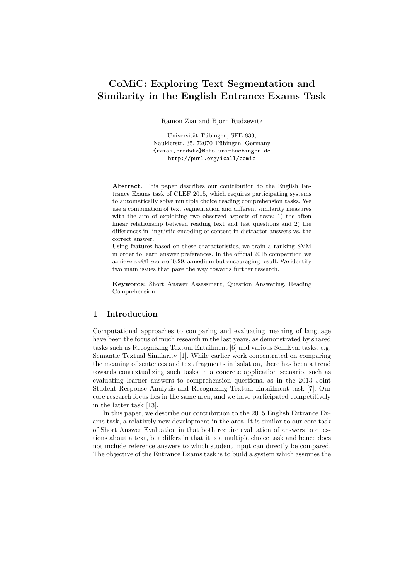# CoMiC: Exploring Text Segmentation and Similarity in the English Entrance Exams Task

Ramon Ziai and Björn Rudzewitz

Universität Tübingen, SFB 833, Nauklerstr. 35, 72070 Tübingen, Germany {rziai,brzdwtz}@sfs.uni-tuebingen.de http://purl.org/icall/comic

Abstract. This paper describes our contribution to the English Entrance Exams task of CLEF 2015, which requires participating systems to automatically solve multiple choice reading comprehension tasks. We use a combination of text segmentation and different similarity measures with the aim of exploiting two observed aspects of tests: 1) the often linear relationship between reading text and test questions and 2) the differences in linguistic encoding of content in distractor answers vs. the correct answer.

Using features based on these characteristics, we train a ranking SVM in order to learn answer preferences. In the official 2015 competition we achieve a c@1 score of 0.29, a medium but encouraging result. We identify two main issues that pave the way towards further research.

Keywords: Short Answer Assessment, Question Answering, Reading Comprehension

## 1 Introduction

Computational approaches to comparing and evaluating meaning of language have been the focus of much research in the last years, as demonstrated by shared tasks such as Recognizing Textual Entailment [6] and various SemEval tasks, e.g. Semantic Textual Similarity [1]. While earlier work concentrated on comparing the meaning of sentences and text fragments in isolation, there has been a trend towards contextualizing such tasks in a concrete application scenario, such as evaluating learner answers to comprehension questions, as in the 2013 Joint Student Response Analysis and Recognizing Textual Entailment task [7]. Our core research focus lies in the same area, and we have participated competitively in the latter task [13].

In this paper, we describe our contribution to the 2015 English Entrance Exams task, a relatively new development in the area. It is similar to our core task of Short Answer Evaluation in that both require evaluation of answers to questions about a text, but differs in that it is a multiple choice task and hence does not include reference answers to which student input can directly be compared. The objective of the Entrance Exams task is to build a system which assumes the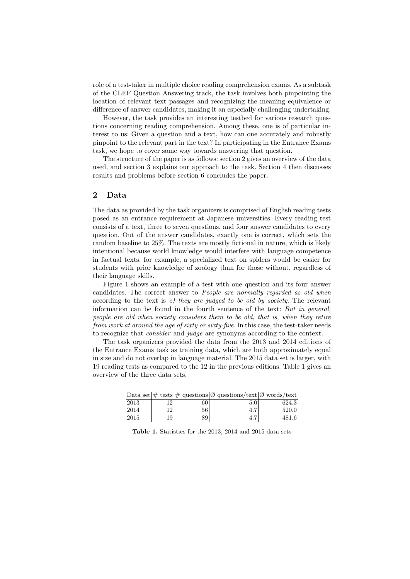role of a test-taker in multiple choice reading comprehension exams. As a subtask of the CLEF Question Answering track, the task involves both pinpointing the location of relevant text passages and recognizing the meaning equivalence or difference of answer candidates, making it an especially challenging undertaking.

However, the task provides an interesting testbed for various research questions concerning reading comprehension. Among these, one is of particular interest to us: Given a question and a text, how can one accurately and robustly pinpoint to the relevant part in the text? In participating in the Entrance Exams task, we hope to cover some way towards answering that question.

The structure of the paper is as follows: section 2 gives an overview of the data used, and section 3 explains our approach to the task. Section 4 then discusses results and problems before section 6 concludes the paper.

## 2 Data

The data as provided by the task organizers is comprised of English reading tests posed as an entrance requirement at Japanese universities. Every reading test consists of a text, three to seven questions, and four answer candidates to every question. Out of the answer candidates, exactly one is correct, which sets the random baseline to 25%. The texts are mostly fictional in nature, which is likely intentional because world knowledge would interfere with language competence in factual texts: for example, a specialized text on spiders would be easier for students with prior knowledge of zoology than for those without, regardless of their language skills.

Figure 1 shows an example of a test with one question and its four answer candidates. The correct answer to People are normally regarded as old when according to the text is c) they are judged to be old by society. The relevant information can be found in the fourth sentence of the text: But in general, people are old when society considers them to be old, that is, when they retire from work at around the age of sixty or sixty-five. In this case, the test-taker needs to recognize that consider and judge are synonyms according to the context.

The task organizers provided the data from the 2013 and 2014 editions of the Entrance Exams task as training data, which are both approximately equal in size and do not overlap in language material. The 2015 data set is larger, with 19 reading tests as compared to the 12 in the previous editions. Table 1 gives an overview of the three data sets.

|      |     |                 | Data set $\#$ tests $\#$ questions $\emptyset$ questions/text $\emptyset$ words/text |       |
|------|-----|-----------------|--------------------------------------------------------------------------------------|-------|
| 2013 |     | 60              | 5.0 <sup>1</sup>                                                                     | 624.3 |
| 2014 | 121 | 56 <sup>1</sup> | 4.7                                                                                  | 520.0 |
| 2015 | 19  | 89              | 4.7                                                                                  | 481.6 |

Table 1. Statistics for the 2013, 2014 and 2015 data sets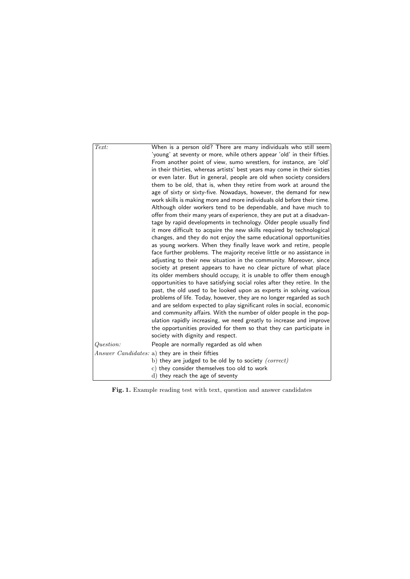| Text:     | When is a person old? There are many individuals who still seem<br>'young' at seventy or more, while others appear 'old' in their fifties.<br>From another point of view, sumo wrestlers, for instance, are 'old'<br>in their thirties, whereas artists' best years may come in their sixties<br>or even later. But in general, people are old when society considers<br>them to be old, that is, when they retire from work at around the<br>age of sixty or sixty-five. Nowadays, however, the demand for new<br>work skills is making more and more individuals old before their time.<br>Although older workers tend to be dependable, and have much to<br>offer from their many years of experience, they are put at a disadvan-<br>tage by rapid developments in technology. Older people usually find<br>it more difficult to acquire the new skills required by technological<br>changes, and they do not enjoy the same educational opportunities<br>as young workers. When they finally leave work and retire, people<br>face further problems. The majority receive little or no assistance in<br>adjusting to their new situation in the community. Moreover, since<br>society at present appears to have no clear picture of what place<br>its older members should occupy, it is unable to offer them enough<br>opportunities to have satisfying social roles after they retire. In the<br>past, the old used to be looked upon as experts in solving various<br>problems of life. Today, however, they are no longer regarded as such<br>and are seldom expected to play significant roles in social, economic<br>and community affairs. With the number of older people in the pop-<br>ulation rapidly increasing, we need greatly to increase and improve<br>the opportunities provided for them so that they can participate in<br>society with dignity and respect. |
|-----------|----------------------------------------------------------------------------------------------------------------------------------------------------------------------------------------------------------------------------------------------------------------------------------------------------------------------------------------------------------------------------------------------------------------------------------------------------------------------------------------------------------------------------------------------------------------------------------------------------------------------------------------------------------------------------------------------------------------------------------------------------------------------------------------------------------------------------------------------------------------------------------------------------------------------------------------------------------------------------------------------------------------------------------------------------------------------------------------------------------------------------------------------------------------------------------------------------------------------------------------------------------------------------------------------------------------------------------------------------------------------------------------------------------------------------------------------------------------------------------------------------------------------------------------------------------------------------------------------------------------------------------------------------------------------------------------------------------------------------------------------------------------------------------------------------------------------------------------------------------------------------------------|
| Question: | People are normally regarded as old when                                                                                                                                                                                                                                                                                                                                                                                                                                                                                                                                                                                                                                                                                                                                                                                                                                                                                                                                                                                                                                                                                                                                                                                                                                                                                                                                                                                                                                                                                                                                                                                                                                                                                                                                                                                                                                               |
|           | Answer Candidates: a) they are in their fifties                                                                                                                                                                                                                                                                                                                                                                                                                                                                                                                                                                                                                                                                                                                                                                                                                                                                                                                                                                                                                                                                                                                                                                                                                                                                                                                                                                                                                                                                                                                                                                                                                                                                                                                                                                                                                                        |
|           | b) they are judged to be old by to society $(correct)$<br>c) they consider themselves too old to work<br>d) they reach the age of seventy                                                                                                                                                                                                                                                                                                                                                                                                                                                                                                                                                                                                                                                                                                                                                                                                                                                                                                                                                                                                                                                                                                                                                                                                                                                                                                                                                                                                                                                                                                                                                                                                                                                                                                                                              |

Fig. 1. Example reading test with text, question and answer candidates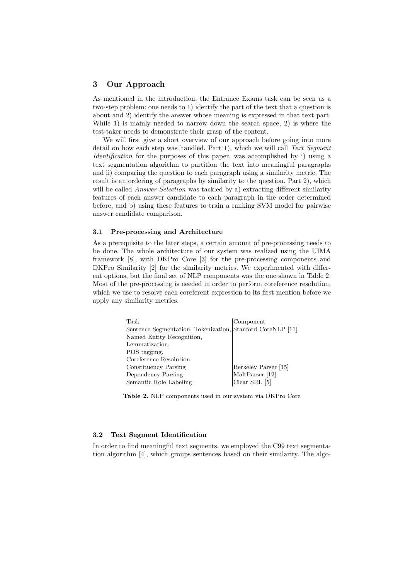## 3 Our Approach

As mentioned in the introduction, the Entrance Exams task can be seen as a two-step problem: one needs to 1) identify the part of the text that a question is about and 2) identify the answer whose meaning is expressed in that text part. While 1) is mainly needed to narrow down the search space, 2) is where the test-taker needs to demonstrate their grasp of the content.

We will first give a short overview of our approach before going into more detail on how each step was handled. Part 1), which we will call Text Segment Identification for the purposes of this paper, was accomplished by i) using a text segmentation algorithm to partition the text into meaningful paragraphs and ii) comparing the question to each paragraph using a similarity metric. The result is an ordering of paragraphs by similarity to the question. Part 2), which will be called *Answer Selection* was tackled by a) extracting different similarity features of each answer candidate to each paragraph in the order determined before, and b) using these features to train a ranking SVM model for pairwise answer candidate comparison.

#### 3.1 Pre-processing and Architecture

As a prerequisite to the later steps, a certain amount of pre-processing needs to be done. The whole architecture of our system was realized using the UIMA framework [8], with DKPro Core [3] for the pre-processing components and DKPro Similarity [2] for the similarity metrics. We experimented with different options, but the final set of NLP components was the one shown in Table 2. Most of the pre-processing is needed in order to perform coreference resolution, which we use to resolve each coreferent expression to its first mention before we apply any similarity metrics.

| Task                                                       | Component            |
|------------------------------------------------------------|----------------------|
| Sentence Segmentation, Tokenization, Stanford CoreNLP [11] |                      |
| Named Entity Recognition,                                  |                      |
| Lemmatization,                                             |                      |
| POS tagging.                                               |                      |
| Coreference Resolution                                     |                      |
| Constituency Parsing                                       | Berkeley Parser [15] |
| Dependency Parsing                                         | MaltParser [12]      |
| Semantic Role Labeling                                     | Clear SRL $[5]$      |

Table 2. NLP components used in our system via DKPro Core

#### 3.2 Text Segment Identification

In order to find meaningful text segments, we employed the C99 text segmentation algorithm [4], which groups sentences based on their similarity. The algo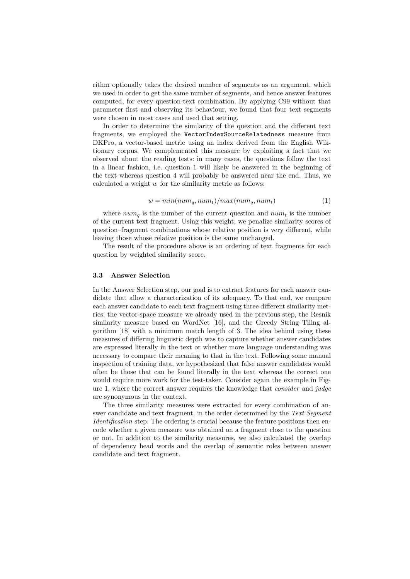rithm optionally takes the desired number of segments as an argument, which we used in order to get the same number of segments, and hence answer features computed, for every question-text combination. By applying C99 without that parameter first and observing its behaviour, we found that four text segments were chosen in most cases and used that setting.

In order to determine the similarity of the question and the different text fragments, we employed the VectorIndexSourceRelatedness measure from DKPro, a vector-based metric using an index derived from the English Wiktionary corpus. We complemented this measure by exploiting a fact that we observed about the reading tests: in many cases, the questions follow the text in a linear fashion, i.e. question 1 will likely be answered in the beginning of the text whereas question 4 will probably be answered near the end. Thus, we calculated a weight  $w$  for the similarity metric as follows:

$$
w = min(num_q, num_t)/max(num_q, num_t)
$$
\n(1)

where  $num_q$  is the number of the current question and  $num_t$  is the number of the current text fragment. Using this weight, we penalize similarity scores of question–fragment combinations whose relative position is very different, while leaving those whose relative position is the same unchanged.

The result of the procedure above is an ordering of text fragments for each question by weighted similarity score.

#### 3.3 Answer Selection

In the Answer Selection step, our goal is to extract features for each answer candidate that allow a characterization of its adequacy. To that end, we compare each answer candidate to each text fragment using three different similarity metrics: the vector-space measure we already used in the previous step, the Resnik similarity measure based on WordNet [16], and the Greedy String Tiling algorithm [18] with a minimum match length of 3. The idea behind using these measures of differing linguistic depth was to capture whether answer candidates are expressed literally in the text or whether more language understanding was necessary to compare their meaning to that in the text. Following some manual inspection of training data, we hypothesized that false answer candidates would often be those that can be found literally in the text whereas the correct one would require more work for the test-taker. Consider again the example in Figure 1, where the correct answer requires the knowledge that consider and judge are synonymous in the context.

The three similarity measures were extracted for every combination of answer candidate and text fragment, in the order determined by the Text Segment Identification step. The ordering is crucial because the feature positions then encode whether a given measure was obtained on a fragment close to the question or not. In addition to the similarity measures, we also calculated the overlap of dependency head words and the overlap of semantic roles between answer candidate and text fragment.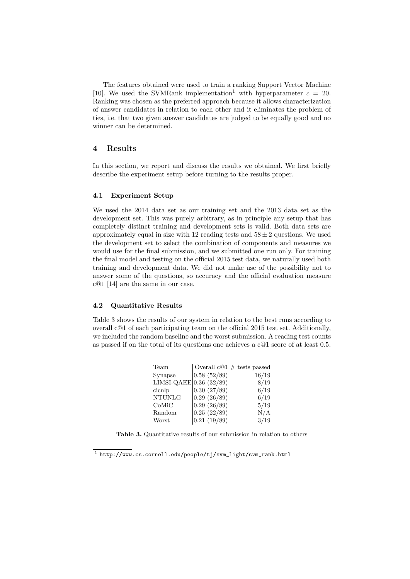The features obtained were used to train a ranking Support Vector Machine [10]. We used the SVMRank implementation<sup>1</sup> with hyperparameter  $c = 20$ . Ranking was chosen as the preferred approach because it allows characterization of answer candidates in relation to each other and it eliminates the problem of ties, i.e. that two given answer candidates are judged to be equally good and no winner can be determined.

## 4 Results

In this section, we report and discuss the results we obtained. We first briefly describe the experiment setup before turning to the results proper.

#### 4.1 Experiment Setup

We used the 2014 data set as our training set and the 2013 data set as the development set. This was purely arbitrary, as in principle any setup that has completely distinct training and development sets is valid. Both data sets are approximately equal in size with 12 reading tests and  $58 \pm 2$  questions. We used the development set to select the combination of components and measures we would use for the final submission, and we submitted one run only. For training the final model and testing on the official 2015 test data, we naturally used both training and development data. We did not make use of the possibility not to answer some of the questions, so accuracy and the official evaluation measure c@1 [14] are the same in our case.

#### 4.2 Quantitative Results

Table 3 shows the results of our system in relation to the best runs according to overall c@1 of each participating team on the official 2015 test set. Additionally, we included the random baseline and the worst submission. A reading test counts as passed if on the total of its questions one achieves a c@1 score of at least 0.5.

| Team                      |                          | Overall $c@1 \#$ tests passed |
|---------------------------|--------------------------|-------------------------------|
| Synapse                   | $\overline{0.58(52/89)}$ | 16/19                         |
| LIMSI-QAEE 0.36 $(32/89)$ |                          | 8/19                          |
| cicnlp                    | 0.30(27/89)              | 6/19                          |
| <b>NTUNLG</b>             | 0.29(26/89)              | 6/19                          |
| CoMiC                     | 0.29(26/89)              | 5/19                          |
| Random                    | 0.25(22/89)              | N/A                           |
| Worst                     | 0.21(19/89)              | 3/19                          |

Table 3. Quantitative results of our submission in relation to others

 $^{\rm 1}$  http://www.cs.cornell.edu/people/tj/svm\_light/svm\_rank.html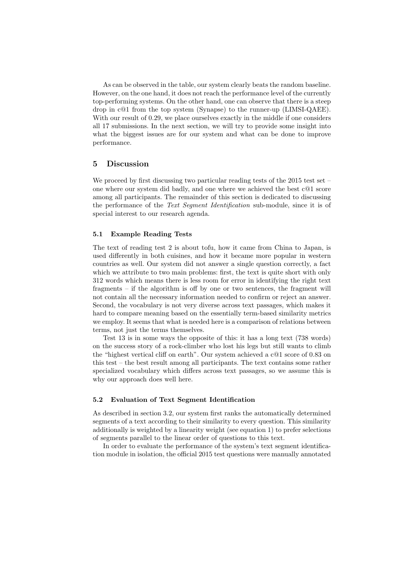As can be observed in the table, our system clearly beats the random baseline. However, on the one hand, it does not reach the performance level of the currently top-performing systems. On the other hand, one can observe that there is a steep drop in c@1 from the top system (Synapse) to the runner-up (LIMSI-QAEE). With our result of 0.29, we place ourselves exactly in the middle if one considers all 17 submissions. In the next section, we will try to provide some insight into what the biggest issues are for our system and what can be done to improve performance.

## 5 Discussion

We proceed by first discussing two particular reading tests of the 2015 test set – one where our system did badly, and one where we achieved the best c@1 score among all participants. The remainder of this section is dedicated to discussing the performance of the Text Segment Identification sub-module, since it is of special interest to our research agenda.

#### 5.1 Example Reading Tests

The text of reading test 2 is about tofu, how it came from China to Japan, is used differently in both cuisines, and how it became more popular in western countries as well. Our system did not answer a single question correctly, a fact which we attribute to two main problems: first, the text is quite short with only 312 words which means there is less room for error in identifying the right text fragments – if the algorithm is off by one or two sentences, the fragment will not contain all the necessary information needed to confirm or reject an answer. Second, the vocabulary is not very diverse across text passages, which makes it hard to compare meaning based on the essentially term-based similarity metrics we employ. It seems that what is needed here is a comparison of relations between terms, not just the terms themselves.

Test 13 is in some ways the opposite of this: it has a long text (738 words) on the success story of a rock-climber who lost his legs but still wants to climb the "highest vertical cliff on earth". Our system achieved a c@1 score of 0.83 on this test – the best result among all participants. The text contains some rather specialized vocabulary which differs across text passages, so we assume this is why our approach does well here.

## 5.2 Evaluation of Text Segment Identification

As described in section 3.2, our system first ranks the automatically determined segments of a text according to their similarity to every question. This similarity additionally is weighted by a linearity weight (see equation 1) to prefer selections of segments parallel to the linear order of questions to this text.

In order to evaluate the performance of the system's text segment identification module in isolation, the official 2015 test questions were manually annotated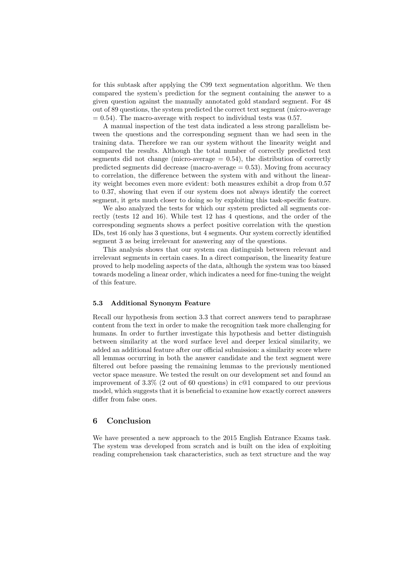for this subtask after applying the C99 text segmentation algorithm. We then compared the system's prediction for the segment containing the answer to a given question against the manually annotated gold standard segment. For 48 out of 89 questions, the system predicted the correct text segment (micro-average  $= 0.54$ ). The macro-average with respect to individual tests was 0.57.

A manual inspection of the test data indicated a less strong parallelism between the questions and the corresponding segment than we had seen in the training data. Therefore we ran our system without the linearity weight and compared the results. Although the total number of correctly predicted text segments did not change (micro-average  $= 0.54$ ), the distribution of correctly predicted segments did decrease (macro-average = 0.53). Moving from accuracy to correlation, the difference between the system with and without the linearity weight becomes even more evident: both measures exhibit a drop from 0.57 to 0.37, showing that even if our system does not always identify the correct segment, it gets much closer to doing so by exploiting this task-specific feature.

We also analyzed the tests for which our system predicted all segments correctly (tests 12 and 16). While test 12 has 4 questions, and the order of the corresponding segments shows a perfect positive correlation with the question IDs, test 16 only has 3 questions, but 4 segments. Our system correctly identified segment 3 as being irrelevant for answering any of the questions.

This analysis shows that our system can distinguish between relevant and irrelevant segments in certain cases. In a direct comparison, the linearity feature proved to help modeling aspects of the data, although the system was too biased towards modeling a linear order, which indicates a need for fine-tuning the weight of this feature.

#### 5.3 Additional Synonym Feature

Recall our hypothesis from section 3.3 that correct answers tend to paraphrase content from the text in order to make the recognition task more challenging for humans. In order to further investigate this hypothesis and better distinguish between similarity at the word surface level and deeper lexical similarity, we added an additional feature after our official submission: a similarity score where all lemmas occurring in both the answer candidate and the text segment were filtered out before passing the remaining lemmas to the previously mentioned vector space measure. We tested the result on our development set and found an improvement of 3.3% (2 out of 60 questions) in c@1 compared to our previous model, which suggests that it is beneficial to examine how exactly correct answers differ from false ones.

## 6 Conclusion

We have presented a new approach to the 2015 English Entrance Exams task. The system was developed from scratch and is built on the idea of exploiting reading comprehension task characteristics, such as text structure and the way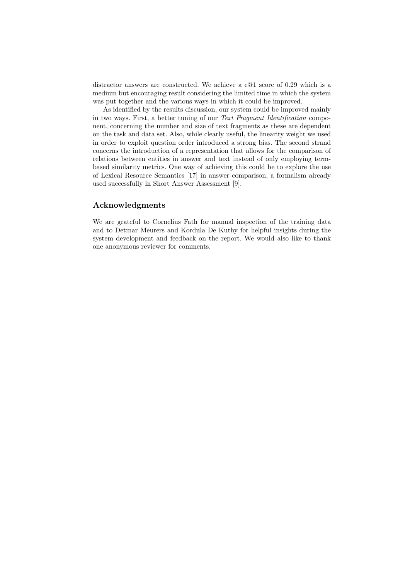distractor answers are constructed. We achieve a c@1 score of 0.29 which is a medium but encouraging result considering the limited time in which the system was put together and the various ways in which it could be improved.

As identified by the results discussion, our system could be improved mainly in two ways. First, a better tuning of our Text Fragment Identification component, concerning the number and size of text fragments as these are dependent on the task and data set. Also, while clearly useful, the linearity weight we used in order to exploit question order introduced a strong bias. The second strand concerns the introduction of a representation that allows for the comparison of relations between entities in answer and text instead of only employing termbased similarity metrics. One way of achieving this could be to explore the use of Lexical Resource Semantics [17] in answer comparison, a formalism already used successfully in Short Answer Assessment [9].

## Acknowledgments

We are grateful to Cornelius Fath for manual inspection of the training data and to Detmar Meurers and Kordula De Kuthy for helpful insights during the system development and feedback on the report. We would also like to thank one anonymous reviewer for comments.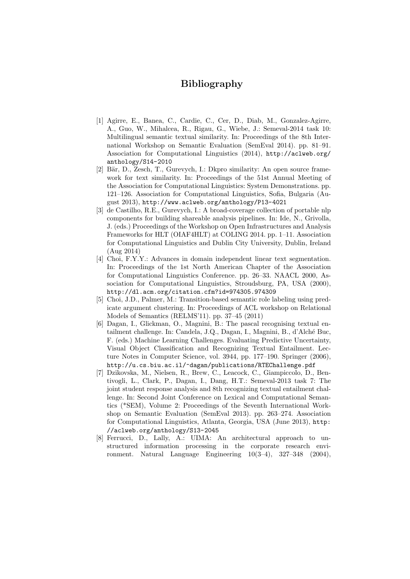## Bibliography

- [1] Agirre, E., Banea, C., Cardie, C., Cer, D., Diab, M., Gonzalez-Agirre, A., Guo, W., Mihalcea, R., Rigau, G., Wiebe, J.: Semeval-2014 task 10: Multilingual semantic textual similarity. In: Proceedings of the 8th International Workshop on Semantic Evaluation (SemEval 2014). pp. 81–91. Association for Computational Linguistics (2014), http://aclweb.org/ anthology/S14-2010
- [2] Bär, D., Zesch, T., Gurevych, I.: Dkpro similarity: An open source framework for text similarity. In: Proceedings of the 51st Annual Meeting of the Association for Computational Linguistics: System Demonstrations. pp. 121–126. Association for Computational Linguistics, Sofia, Bulgaria (August 2013), http://www.aclweb.org/anthology/P13-4021
- [3] de Castilho, R.E., Gurevych, I.: A broad-coverage collection of portable nlp components for building shareable analysis pipelines. In: Ide, N., Grivolla, J. (eds.) Proceedings of the Workshop on Open Infrastructures and Analysis Frameworks for HLT (OIAF4HLT) at COLING 2014. pp. 1–11. Association for Computational Linguistics and Dublin City University, Dublin, Ireland (Aug 2014)
- [4] Choi, F.Y.Y.: Advances in domain independent linear text segmentation. In: Proceedings of the 1st North American Chapter of the Association for Computational Linguistics Conference. pp. 26–33. NAACL 2000, Association for Computational Linguistics, Stroudsburg, PA, USA (2000), http://dl.acm.org/citation.cfm?id=974305.974309
- [5] Choi, J.D., Palmer, M.: Transition-based semantic role labeling using predicate argument clustering. In: Proceedings of ACL workshop on Relational Models of Semantics (RELMS'11). pp. 37–45 (2011)
- [6] Dagan, I., Glickman, O., Magnini, B.: The pascal recognising textual entailment challenge. In: Candela, J.Q., Dagan, I., Magnini, B., d'Alché Buc, F. (eds.) Machine Learning Challenges. Evaluating Predictive Uncertainty, Visual Object Classification and Recognizing Textual Entailment. Lecture Notes in Computer Science, vol. 3944, pp. 177–190. Springer (2006), http://u.cs.biu.ac.il/~dagan/publications/RTEChallenge.pdf
- [7] Dzikovska, M., Nielsen, R., Brew, C., Leacock, C., Giampiccolo, D., Bentivogli, L., Clark, P., Dagan, I., Dang, H.T.: Semeval-2013 task 7: The joint student response analysis and 8th recognizing textual entailment challenge. In: Second Joint Conference on Lexical and Computational Semantics (\*SEM), Volume 2: Proceedings of the Seventh International Workshop on Semantic Evaluation (SemEval 2013). pp. 263–274. Association for Computational Linguistics, Atlanta, Georgia, USA (June 2013), http: //aclweb.org/anthology/S13-2045
- [8] Ferrucci, D., Lally, A.: UIMA: An architectural approach to unstructured information processing in the corporate research environment. Natural Language Engineering 10(3–4), 327–348 (2004),